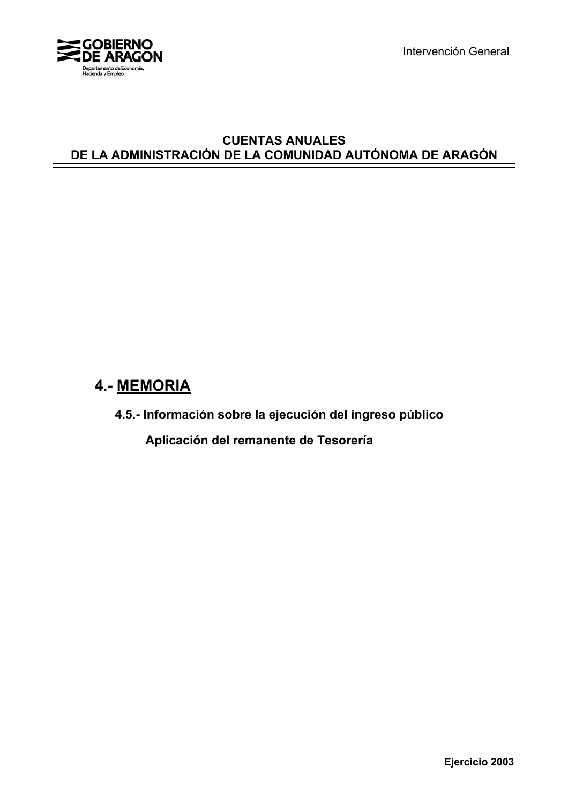

Intervención General

## **CUENTAS ANUALES DE LA ADMINISTRACIÓN DE LA COMUNIDAD AUTÓNOMA DE ARAGÓN**

## **4.- MEMORIA**

**4.5.- Información sobre la ejecución del ingreso público**

 **Aplicación del remanente de Tesorería**